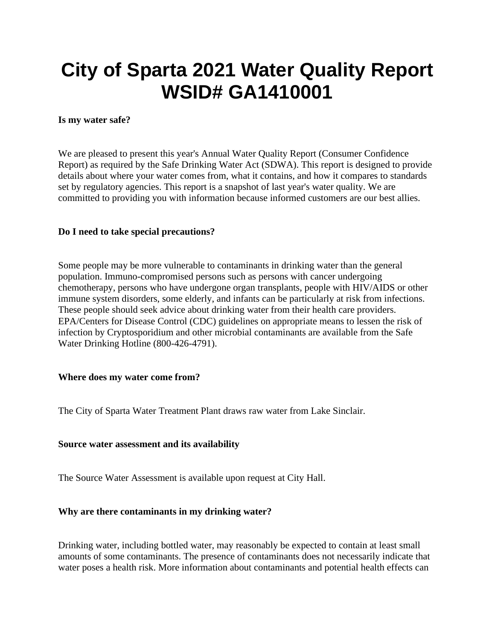# **City of Sparta 2021 Water Quality Report WSID# GA1410001**

#### **Is my water safe?**

We are pleased to present this year's Annual Water Quality Report (Consumer Confidence Report) as required by the Safe Drinking Water Act (SDWA). This report is designed to provide details about where your water comes from, what it contains, and how it compares to standards set by regulatory agencies. This report is a snapshot of last year's water quality. We are committed to providing you with information because informed customers are our best allies.

#### **Do I need to take special precautions?**

Some people may be more vulnerable to contaminants in drinking water than the general population. Immuno-compromised persons such as persons with cancer undergoing chemotherapy, persons who have undergone organ transplants, people with HIV/AIDS or other immune system disorders, some elderly, and infants can be particularly at risk from infections. These people should seek advice about drinking water from their health care providers. EPA/Centers for Disease Control (CDC) guidelines on appropriate means to lessen the risk of infection by Cryptosporidium and other microbial contaminants are available from the Safe Water Drinking Hotline (800-426-4791).

#### **Where does my water come from?**

The City of Sparta Water Treatment Plant draws raw water from Lake Sinclair.

#### **Source water assessment and its availability**

The Source Water Assessment is available upon request at City Hall.

#### **Why are there contaminants in my drinking water?**

Drinking water, including bottled water, may reasonably be expected to contain at least small amounts of some contaminants. The presence of contaminants does not necessarily indicate that water poses a health risk. More information about contaminants and potential health effects can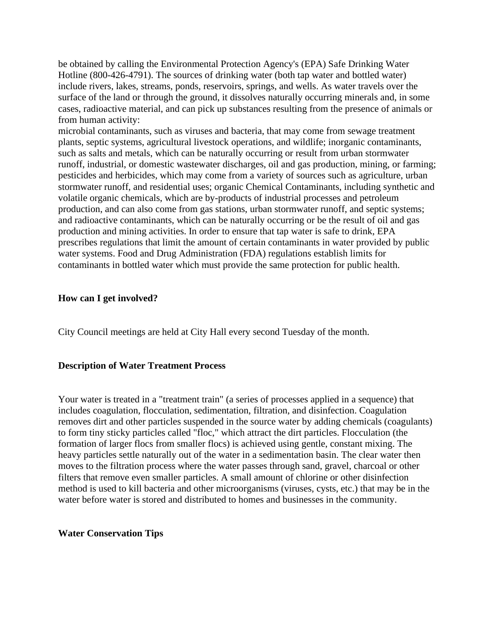be obtained by calling the Environmental Protection Agency's (EPA) Safe Drinking Water Hotline (800-426-4791). The sources of drinking water (both tap water and bottled water) include rivers, lakes, streams, ponds, reservoirs, springs, and wells. As water travels over the surface of the land or through the ground, it dissolves naturally occurring minerals and, in some cases, radioactive material, and can pick up substances resulting from the presence of animals or from human activity:

microbial contaminants, such as viruses and bacteria, that may come from sewage treatment plants, septic systems, agricultural livestock operations, and wildlife; inorganic contaminants, such as salts and metals, which can be naturally occurring or result from urban stormwater runoff, industrial, or domestic wastewater discharges, oil and gas production, mining, or farming; pesticides and herbicides, which may come from a variety of sources such as agriculture, urban stormwater runoff, and residential uses; organic Chemical Contaminants, including synthetic and volatile organic chemicals, which are by-products of industrial processes and petroleum production, and can also come from gas stations, urban stormwater runoff, and septic systems; and radioactive contaminants, which can be naturally occurring or be the result of oil and gas production and mining activities. In order to ensure that tap water is safe to drink, EPA prescribes regulations that limit the amount of certain contaminants in water provided by public water systems. Food and Drug Administration (FDA) regulations establish limits for contaminants in bottled water which must provide the same protection for public health.

#### **How can I get involved?**

City Council meetings are held at City Hall every second Tuesday of the month.

#### **Description of Water Treatment Process**

Your water is treated in a "treatment train" (a series of processes applied in a sequence) that includes coagulation, flocculation, sedimentation, filtration, and disinfection. Coagulation removes dirt and other particles suspended in the source water by adding chemicals (coagulants) to form tiny sticky particles called "floc," which attract the dirt particles. Flocculation (the formation of larger flocs from smaller flocs) is achieved using gentle, constant mixing. The heavy particles settle naturally out of the water in a sedimentation basin. The clear water then moves to the filtration process where the water passes through sand, gravel, charcoal or other filters that remove even smaller particles. A small amount of chlorine or other disinfection method is used to kill bacteria and other microorganisms (viruses, cysts, etc.) that may be in the water before water is stored and distributed to homes and businesses in the community.

#### **Water Conservation Tips**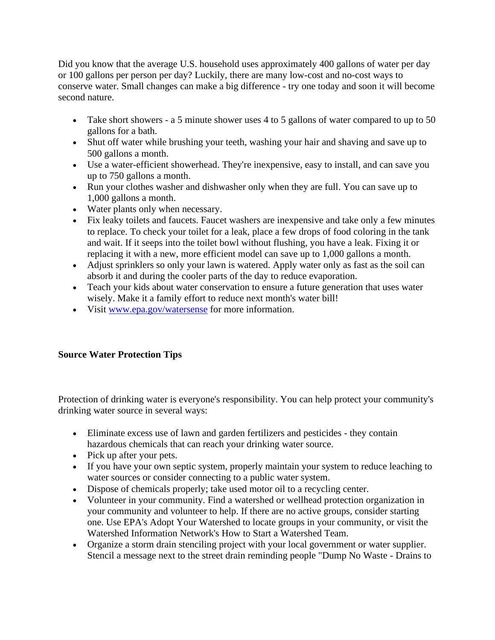Did you know that the average U.S. household uses approximately 400 gallons of water per day or 100 gallons per person per day? Luckily, there are many low-cost and no-cost ways to conserve water. Small changes can make a big difference - try one today and soon it will become second nature.

- Take short showers a 5 minute shower uses 4 to 5 gallons of water compared to up to 50 gallons for a bath.
- Shut off water while brushing your teeth, washing your hair and shaving and save up to 500 gallons a month.
- Use a water-efficient showerhead. They're inexpensive, easy to install, and can save you up to 750 gallons a month.
- Run your clothes washer and dishwasher only when they are full. You can save up to 1,000 gallons a month.
- Water plants only when necessary.
- Fix leaky toilets and faucets. Faucet washers are inexpensive and take only a few minutes to replace. To check your toilet for a leak, place a few drops of food coloring in the tank and wait. If it seeps into the toilet bowl without flushing, you have a leak. Fixing it or replacing it with a new, more efficient model can save up to 1,000 gallons a month.
- Adjust sprinklers so only your lawn is watered. Apply water only as fast as the soil can absorb it and during the cooler parts of the day to reduce evaporation.
- Teach your kids about water conservation to ensure a future generation that uses water wisely. Make it a family effort to reduce next month's water bill!
- Visit [www.epa.gov/watersense](http://www.epa.gov/watersense) for more information.

## **Source Water Protection Tips**

Protection of drinking water is everyone's responsibility. You can help protect your community's drinking water source in several ways:

- Eliminate excess use of lawn and garden fertilizers and pesticides they contain hazardous chemicals that can reach your drinking water source.
- Pick up after your pets.
- If you have your own septic system, properly maintain your system to reduce leaching to water sources or consider connecting to a public water system.
- Dispose of chemicals properly; take used motor oil to a recycling center.
- Volunteer in your community. Find a watershed or wellhead protection organization in your community and volunteer to help. If there are no active groups, consider starting one. Use EPA's Adopt Your Watershed to locate groups in your community, or visit the Watershed Information Network's How to Start a Watershed Team.
- Organize a storm drain stenciling project with your local government or water supplier. Stencil a message next to the street drain reminding people "Dump No Waste - Drains to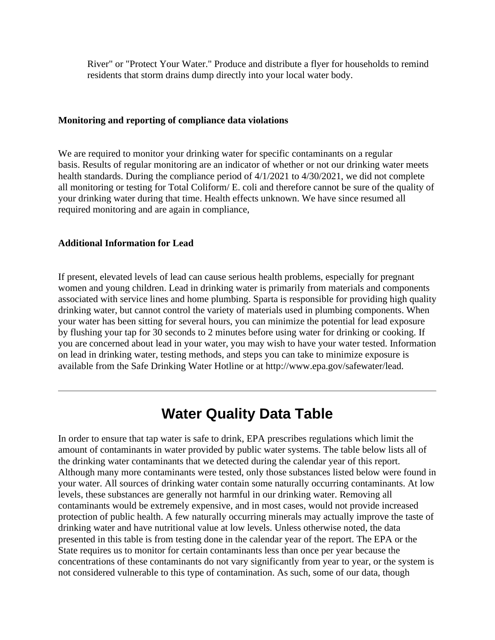River" or "Protect Your Water." Produce and distribute a flyer for households to remind residents that storm drains dump directly into your local water body.

#### **Monitoring and reporting of compliance data violations**

We are required to monitor your drinking water for specific contaminants on a regular basis. Results of regular monitoring are an indicator of whether or not our drinking water meets health standards. During the compliance period of  $4/1/2021$  to  $4/30/2021$ , we did not complete all monitoring or testing for Total Coliform/ E. coli and therefore cannot be sure of the quality of your drinking water during that time. Health effects unknown. We have since resumed all required monitoring and are again in compliance,

#### **Additional Information for Lead**

If present, elevated levels of lead can cause serious health problems, especially for pregnant women and young children. Lead in drinking water is primarily from materials and components associated with service lines and home plumbing. Sparta is responsible for providing high quality drinking water, but cannot control the variety of materials used in plumbing components. When your water has been sitting for several hours, you can minimize the potential for lead exposure by flushing your tap for 30 seconds to 2 minutes before using water for drinking or cooking. If you are concerned about lead in your water, you may wish to have your water tested. Information on lead in drinking water, testing methods, and steps you can take to minimize exposure is available from the Safe Drinking Water Hotline or at http://www.epa.gov/safewater/lead.

# **Water Quality Data Table**

In order to ensure that tap water is safe to drink, EPA prescribes regulations which limit the amount of contaminants in water provided by public water systems. The table below lists all of the drinking water contaminants that we detected during the calendar year of this report. Although many more contaminants were tested, only those substances listed below were found in your water. All sources of drinking water contain some naturally occurring contaminants. At low levels, these substances are generally not harmful in our drinking water. Removing all contaminants would be extremely expensive, and in most cases, would not provide increased protection of public health. A few naturally occurring minerals may actually improve the taste of drinking water and have nutritional value at low levels. Unless otherwise noted, the data presented in this table is from testing done in the calendar year of the report. The EPA or the State requires us to monitor for certain contaminants less than once per year because the concentrations of these contaminants do not vary significantly from year to year, or the system is not considered vulnerable to this type of contamination. As such, some of our data, though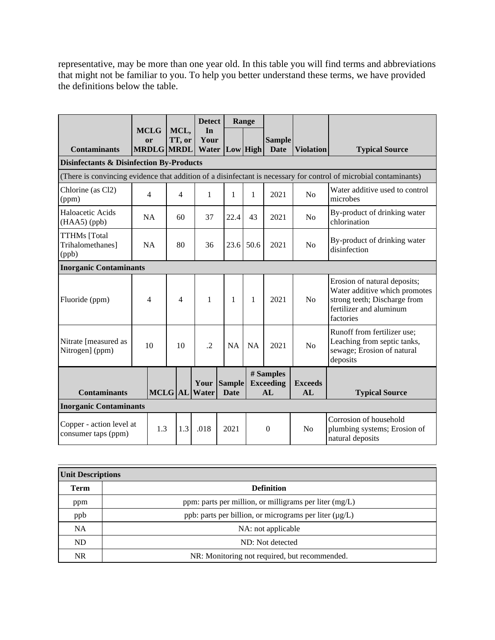representative, may be more than one year old. In this table you will find terms and abbreviations that might not be familiar to you. To help you better understand these terms, we have provided the definitions below the table.

|                                                     |                                               |               |                | <b>Detect</b>       | Range                        |           |                                     |                      |                                                                                                                                       |
|-----------------------------------------------------|-----------------------------------------------|---------------|----------------|---------------------|------------------------------|-----------|-------------------------------------|----------------------|---------------------------------------------------------------------------------------------------------------------------------------|
| <b>Contaminants</b>                                 | <b>MCLG</b><br><b>or</b><br><b>MRDLG MRDL</b> |               | MCL,<br>TT, or | In<br>Your<br>Water | Low High                     |           | <b>Sample</b><br><b>Date</b>        | <b>Violation</b>     | <b>Typical Source</b>                                                                                                                 |
| <b>Disinfectants &amp; Disinfection By-Products</b> |                                               |               |                |                     |                              |           |                                     |                      |                                                                                                                                       |
|                                                     |                                               |               |                |                     |                              |           |                                     |                      | (There is convincing evidence that addition of a disinfectant is necessary for control of microbial contaminants)                     |
| Chlorine (as Cl2)<br>(ppm)                          | $\overline{4}$                                |               | $\overline{4}$ | $\mathbf{1}$        | 1                            | 1         | 2021                                | No                   | Water additive used to control<br>microbes                                                                                            |
| Haloacetic Acids<br>$(HAA5)$ (ppb)                  | NA                                            |               | 60             | 37                  | 22.4                         | 43        | 2021                                | No                   | By-product of drinking water<br>chlorination                                                                                          |
| <b>TTHMs</b> [Total<br>Trihalomethanes]<br>(ppb)    | <b>NA</b>                                     |               | 80             | 36                  | 23.6                         | 50.6      | 2021                                | N <sub>0</sub>       | By-product of drinking water<br>disinfection                                                                                          |
| <b>Inorganic Contaminants</b>                       |                                               |               |                |                     |                              |           |                                     |                      |                                                                                                                                       |
| Fluoride (ppm)                                      | 4                                             |               | $\overline{4}$ | $\mathbf{1}$        | 1                            | 1         | 2021                                | N <sub>0</sub>       | Erosion of natural deposits;<br>Water additive which promotes<br>strong teeth; Discharge from<br>fertilizer and aluminum<br>factories |
| Nitrate [measured as<br>Nitrogen] (ppm)             | 10                                            |               | 10             | $\cdot$             | <b>NA</b>                    | <b>NA</b> | 2021                                | N <sub>o</sub>       | Runoff from fertilizer use;<br>Leaching from septic tanks,<br>sewage; Erosion of natural<br>deposits                                  |
| <b>Contaminants</b>                                 |                                               | MCLG AL Water |                | Your                | <b>Sample</b><br><b>Date</b> |           | # Samples<br><b>Exceeding</b><br>AL | <b>Exceeds</b><br>AL | <b>Typical Source</b>                                                                                                                 |
| <b>Inorganic Contaminants</b>                       |                                               |               |                |                     |                              |           |                                     |                      |                                                                                                                                       |
| Copper - action level at<br>consumer taps (ppm)     |                                               | 1.3           | 1.3            | .018                | 2021                         |           | $\boldsymbol{0}$                    | No                   | Corrosion of household<br>plumbing systems; Erosion of<br>natural deposits                                                            |

| <b>Unit Descriptions</b> |                                                             |  |  |  |  |
|--------------------------|-------------------------------------------------------------|--|--|--|--|
| <b>Term</b>              | <b>Definition</b>                                           |  |  |  |  |
| ppm                      | ppm: parts per million, or milligrams per liter $(mg/L)$    |  |  |  |  |
| ppb                      | ppb: parts per billion, or micrograms per liter $(\mu g/L)$ |  |  |  |  |
| <b>NA</b>                | NA: not applicable                                          |  |  |  |  |
| <b>ND</b>                | ND: Not detected                                            |  |  |  |  |
| <b>NR</b>                | NR: Monitoring not required, but recommended.               |  |  |  |  |